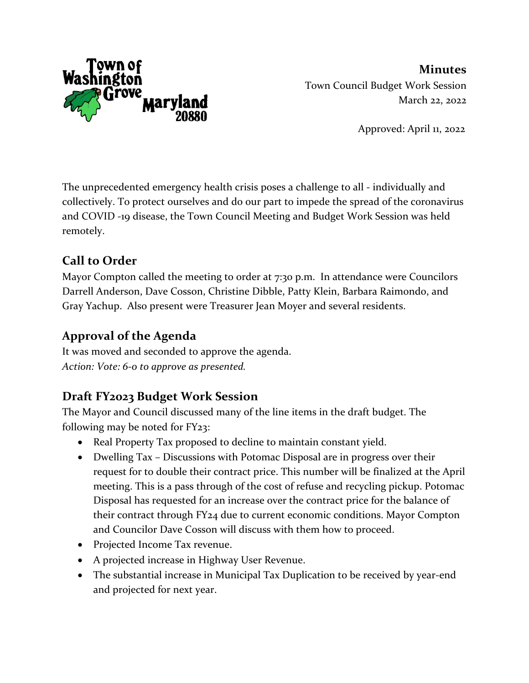

**Minutes** Town Council Budget Work Session March 22, 2022

Approved: April 11, 2022

The unprecedented emergency health crisis poses a challenge to all - individually and collectively. To protect ourselves and do our part to impede the spread of the coronavirus and COVID -19 disease, the Town Council Meeting and Budget Work Session was held remotely.

# **Call to Order**

Mayor Compton called the meeting to order at 7:30 p.m. In attendance were Councilors Darrell Anderson, Dave Cosson, Christine Dibble, Patty Klein, Barbara Raimondo, and Gray Yachup. Also present were Treasurer Jean Moyer and several residents.

# **Approval of the Agenda**

It was moved and seconded to approve the agenda. *Action: Vote: 6-0 to approve as presented.*

## **Draft FY2023 Budget Work Session**

The Mayor and Council discussed many of the line items in the draft budget. The following may be noted for FY23:

- Real Property Tax proposed to decline to maintain constant yield.
- Dwelling Tax Discussions with Potomac Disposal are in progress over their request for to double their contract price. This number will be finalized at the April meeting. This is a pass through of the cost of refuse and recycling pickup. Potomac Disposal has requested for an increase over the contract price for the balance of their contract through FY24 due to current economic conditions. Mayor Compton and Councilor Dave Cosson will discuss with them how to proceed.
- Projected Income Tax revenue.
- A projected increase in Highway User Revenue.
- The substantial increase in Municipal Tax Duplication to be received by year-end and projected for next year.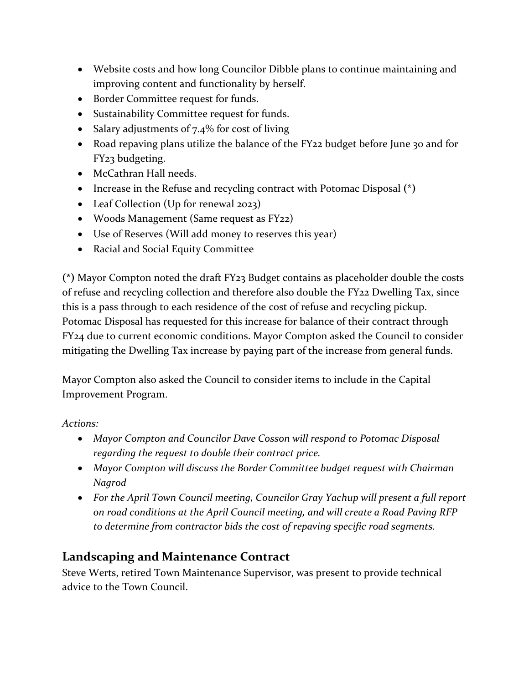- Website costs and how long Councilor Dibble plans to continue maintaining and improving content and functionality by herself.
- Border Committee request for funds.
- Sustainability Committee request for funds.
- Salary adjustments of 7.4% for cost of living
- Road repaving plans utilize the balance of the FY22 budget before June 30 and for FY23 budgeting.
- McCathran Hall needs.
- Increase in the Refuse and recycling contract with Potomac Disposal **(\*)**
- Leaf Collection (Up for renewal 2023)
- Woods Management (Same request as FY22)
- Use of Reserves (Will add money to reserves this year)
- Racial and Social Equity Committee

**(\*)** Mayor Compton noted the draft FY23 Budget contains as placeholder double the costs of refuse and recycling collection and therefore also double the FY22 Dwelling Tax, since this is a pass through to each residence of the cost of refuse and recycling pickup. Potomac Disposal has requested for this increase for balance of their contract through FY24 due to current economic conditions. Mayor Compton asked the Council to consider mitigating the Dwelling Tax increase by paying part of the increase from general funds.

Mayor Compton also asked the Council to consider items to include in the Capital Improvement Program.

*Actions:* 

- *Mayor Compton and Councilor Dave Cosson will respond to Potomac Disposal regarding the request to double their contract price.*
- *Mayor Compton will discuss the Border Committee budget request with Chairman Nagrod*
- *For the April Town Council meeting, Councilor Gray Yachup will present a full report on road conditions at the April Council meeting, and will create a Road Paving RFP to determine from contractor bids the cost of repaving specific road segments.*

### **Landscaping and Maintenance Contract**

Steve Werts, retired Town Maintenance Supervisor, was present to provide technical advice to the Town Council.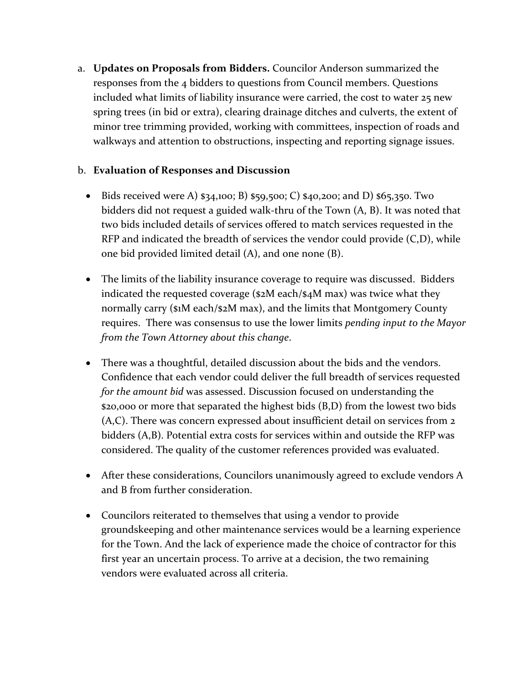a. **Updates on Proposals from Bidders.** Councilor Anderson summarized the responses from the 4 bidders to questions from Council members. Questions included what limits of liability insurance were carried, the cost to water 25 new spring trees (in bid or extra), clearing drainage ditches and culverts, the extent of minor tree trimming provided, working with committees, inspection of roads and walkways and attention to obstructions, inspecting and reporting signage issues.

#### b. **Evaluation of Responses and Discussion**

- Bids received were A)  $$34,100; B)$   $$59,500; C)$   $$40,200;$  and D)  $$65,350$ . Two bidders did not request a guided walk-thru of the Town (A, B). It was noted that two bids included details of services offered to match services requested in the RFP and indicated the breadth of services the vendor could provide (C,D), while one bid provided limited detail (A), and one none (B).
- The limits of the liability insurance coverage to require was discussed. Bidders indicated the requested coverage (\$2M each/\$4M max) was twice what they normally carry (\$1M each/\$2M max), and the limits that Montgomery County requires. There was consensus to use the lower limits *pending input to the Mayor from the Town Attorney about this change*.
- There was a thoughtful, detailed discussion about the bids and the vendors. Confidence that each vendor could deliver the full breadth of services requested *for the amount bid* was assessed. Discussion focused on understanding the \$20,000 or more that separated the highest bids (B,D) from the lowest two bids (A,C). There was concern expressed about insufficient detail on services from 2 bidders (A,B). Potential extra costs for services within and outside the RFP was considered. The quality of the customer references provided was evaluated.
- After these considerations, Councilors unanimously agreed to exclude vendors A and B from further consideration.
- Councilors reiterated to themselves that using a vendor to provide groundskeeping and other maintenance services would be a learning experience for the Town. And the lack of experience made the choice of contractor for this first year an uncertain process. To arrive at a decision, the two remaining vendors were evaluated across all criteria.